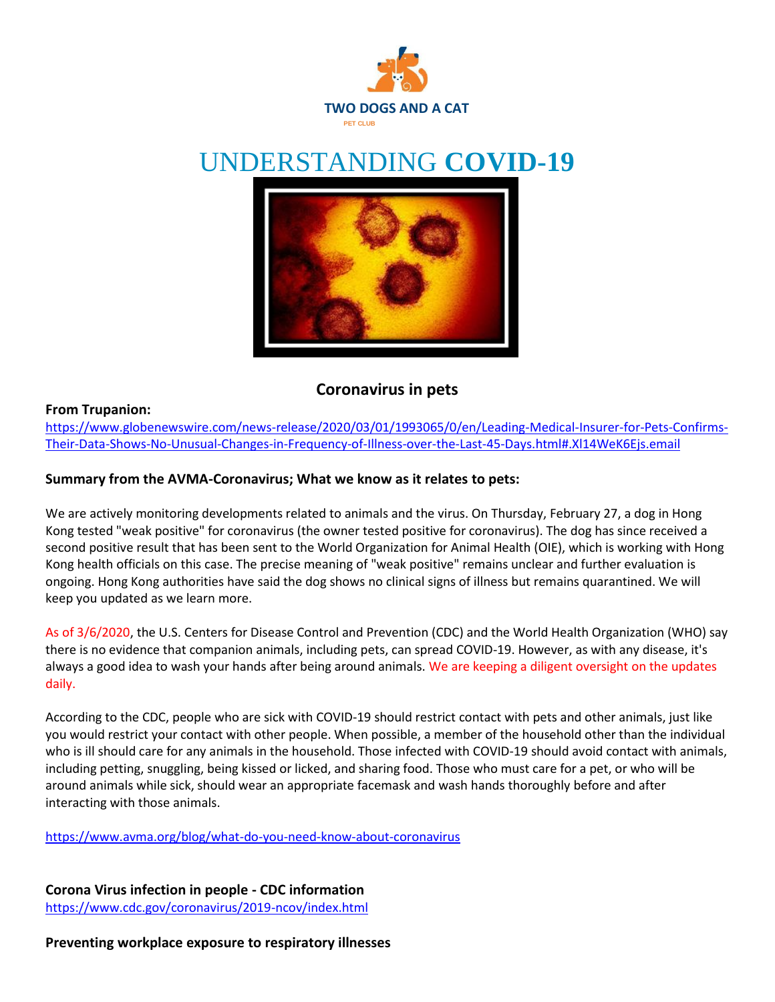

# UNDERSTANDING **COVID-19**



## **Coronavirus in pets**

#### **From Trupanion:**

[https://www.globenewswire.com/news-release/2020/03/01/1993065/0/en/Leading-Medical-Insurer-for-Pets-Confirms-](https://www.globenewswire.com/news-release/2020/03/01/1993065/0/en/Leading-Medical-Insurer-for-Pets-Confirms-Their-Data-Shows-No-Unusual-Changes-in-Frequency-of-Illness-over-the-Last-45-Days.html#.Xl14WeK6Ejs.email)[Their-Data-Shows-No-Unusual-Changes-in-Frequency-of-Illness-over-the-Last-45-Days.html#.Xl14WeK6Ejs.email](https://www.globenewswire.com/news-release/2020/03/01/1993065/0/en/Leading-Medical-Insurer-for-Pets-Confirms-Their-Data-Shows-No-Unusual-Changes-in-Frequency-of-Illness-over-the-Last-45-Days.html#.Xl14WeK6Ejs.email)

#### **Summary from the AVMA-Coronavirus; What we know as it relates to pets:**

We are actively monitoring developments related to animals and the virus. On Thursday, February 27, a dog in Hong Kong tested "weak positive" for coronavirus (the owner tested positive for coronavirus). The dog has since received a second positive result that has been sent to the World Organization for Animal Health (OIE), which is working with Hong Kong health officials on this case. The precise meaning of "weak positive" remains unclear and further evaluation is ongoing. Hong Kong authorities have said the dog shows no clinical signs of illness but remains quarantined. We will keep you updated as we learn more.

As of 3/6/2020, the U.S. Centers for Disease Control and Prevention (CDC) and the World Health Organization (WHO) say there is no evidence that companion animals, including pets, can spread COVID-19. However, as with any disease, it's always a good idea to wash your hands after being around animals. We are keeping a diligent oversight on the updates daily.

According to the CDC, people who are sick with COVID-19 should restrict contact with pets and other animals, just like you would restrict your contact with other people. When possible, a member of the household other than the individual who is ill should care for any animals in the household. Those infected with COVID-19 should avoid contact with animals, including petting, snuggling, being kissed or licked, and sharing food. Those who must care for a pet, or who will be around animals while sick, should wear an appropriate facemask and wash hands thoroughly before and after interacting with those animals.

<https://www.avma.org/blog/what-do-you-need-know-about-coronavirus>

**Corona Virus infection in people - CDC information** <https://www.cdc.gov/coronavirus/2019-ncov/index.html>

**Preventing workplace exposure to respiratory illnesses**